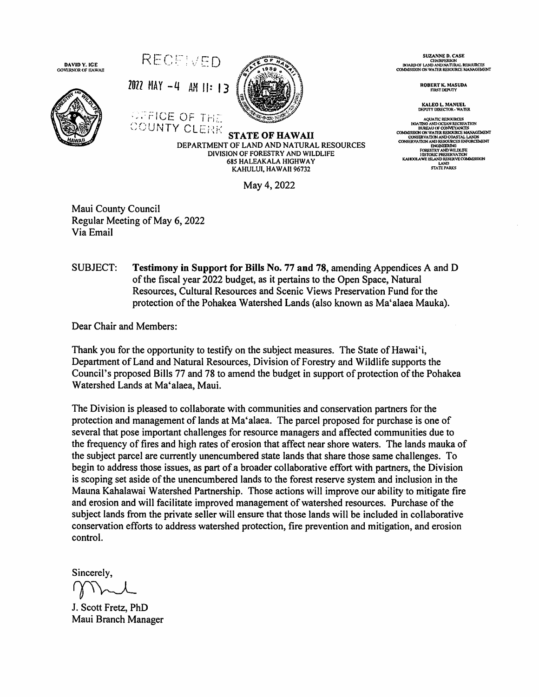

**SUZANNE D. CASE** CHAIRPERSON<br>BOARD OF LAND AND NATURAL RESOURCES<br>COMMISSION ON WATER RESOURCE MANAGEMENT

ROBERT K. MASUDA<br>FIRST DEPUTY

**KALEO L. MANUEL<br>DEPUTY DIRECTOR - WATER** 

AQUATIC RESOURCES<br>
HOMEON DOCEAN RECREMENTION<br>
BUREAU OF CONVEYANCES<br>
COMALISSION ON WATER RESOURCE MANAGEMENT<br>
CONSERVATION AND RESOURCES ENFORCEMENT<br>
CONSERVATION AND RESOURCES ENFORCEMENT ONSI:RVATION AND RESOURCES ENFORCEME?<br>ENGINEERING<br>FORESTRY AND WILDLIFE<br>INSTORIC PRESERVATION<br>KAHOOLAWE ISLAND RESERVE COMMISSION LAND<br>STATE PARKS

KAHULUI, HAWAII 96732 May 4, 2022

**685 HALEAKALA HIGHWAY** 

Maui County Council Regular Meeting of May 6, 2022 Via Email

SUBJECT: **Testimony in Support for Bills No. 77 and 78, amending Appendices A and D** of the fiscal year 2022 budget, as it pertains to the Open Space, Natural Resources, Cultural Resources and Scenic Views Preservation Fund for the protection of the Pohakea Watershed Lands (also known as Ma'alaea Mauka).

Dear Chair and Members:

Thank you for the opportunity to testify on the subject measures. The State of Hawai'i, Department of Land and Natural Resources, Division of Forestry and Wildlife supports the Council's proposed Bills 77 and 78 to amend the budget in support of protection of the Pohakea Watershed Lands at Ma'alaea, Maui.

The Division is pleased to collaborate with communities and conservation partners for the protection and management of lands at Ma'alaea. The parcel proposed for purchase is one of several that pose important challenges for resource managers and affected communities due to the frequency of fires and high rates of erosion that affect near shore waters. The lands mauka of the subject parcel are currently unencumbered state lands that share those same challenges. To begin to address those issues, as part of a broader collaborative effort with partners, the Division is scoping set aside of the unencumbered lands to the forest reserve system and inclusion in the Mauna Kahalawai Watershed Partnership. Those actions will improve our ability to mitigate fire and erosion and will facilitate improved management of watershed resources. Purchase of the subject lands from the private seller will ensure that those lands will be included in collaborative conservation efforts to address watershed protection, fire prevention and mitigation, and erosion control.

Sincerely.

J. Scott Fretz, PhD Maui Branch Manager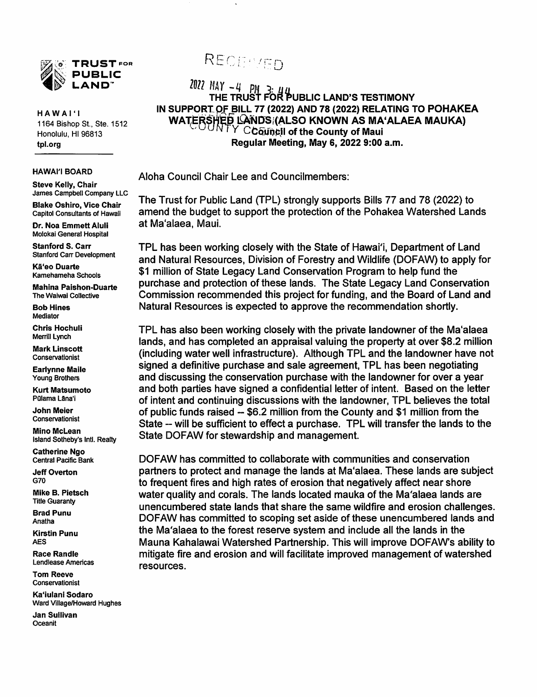

HAWAI' <sup>1</sup> 1164 Bishop St, Ste, 1512 Honolulu, HI 96813 tpl.org

Steve Kelly, Chair James Campbell Company LLC

Blake Oshiro, Vice Chair Capitol Consultants of Hawaii

Dr. Noa Emmett Aluli Molokai General Hospital

Stanford S. Carr Stanford Carr Development

Ka'eo Duarte Kamehameha Schools

Mahina Paishon-Duarte The Waiwai Collective

Bob Hines Mediator

Chris Hochuli Merrill Lynch

Mark Linscott Conservationist

Earlynne Maile Young Brothers

Kurt Matsumoto Pulama Lāna'i

John Meier Conservationist

Mino McLean Island Sotheby's Inti. Realty

Catherine Ngo Central Pacific Bank

Jeff Overton G70

Mike B. Pietsch Title Guaranty

Brad Punu Anatha

Kirstin Punu AES

Race Randle Lendlease Americas

Tom Reeve Conservationist

Ka'iulani Sodaro Ward Village/Howard Hughes

Jan Sullivan Oceanit

## RECENTED

2022 MAY -4 PM 3: 44<br>THE TRUST FOR PUBLIC LAND'S TESTIMONY IN SUPPORT OF BILL 77 (2022) AND 78 (2022) RELATING TO POHAKEA WATERSHED LANDS (ALSO KNOWN AS MA'ALAEA MAUKA)  $\it{Y}$   $\it{C}$ Gouncil of the County of Maui Regular Meeting, May 6, 2022 9:00 a.m.

HAWAII BOARD Aloha Council Chair Lee and Councilmembers;

The Trust for Public Land (TPL) strongly supports Bills 77 and 78 (2022) to amend the budget to support the protection of the Pohakea Watershed Lands at Ma'alaea, Maui.

TPL has been working closely with the State of Hawai'i, Department of Land and Natural Resources, Division of Forestry and Wildlife (DOFAW) to apply for \$1 million of State Legacy Land Conservation Program to help fund the purchase and protection of these lands. The State Legacy Land Conservation Commission recommended this project for funding, and the Board of Land and Natural Resources is expected to approve the recommendation shortly.

TPL has also been working closely with the private landowner of the Ma'alaea lands, and has completed an appraisal valuing the property at over \$8.2 million (including water well infrastructure). Although TPL and the landowner have not signed a definitive purchase and sale agreement, TPL has been negotiating and discussing the conservation purchase with the landowner for over a year and both parties have signed a confidential letter of intent. Based on the letter of intent and continuing discussions with the landowner. TPL believes the total of public funds raised -- \$6.2 million from the County and \$1 million from the State -- will be sufficient to effect a purchase. TPL will transfer the lands to the State DOFAW for stewardship and management.

DOFAW has committed to collaborate with communities and conservation partners to protect and manage the lands at Ma'alaea. These lands are subject to frequent fires and high rates of erosion that negatively affect near shore water quality and corals. The lands located mauka of the Ma'alaea lands are unencumbered state lands that share the same wildfire and erosion challenges. DOFAW has committed to scoping set aside of these unencumbered lands and the Ma'alaea to the forest reserve system and include all the lands in the Mauna Kahalawai Watershed Partnership. This will improve DOFAW's ability to mitigate fire and erosion and will facilitate improved management of watershed resources.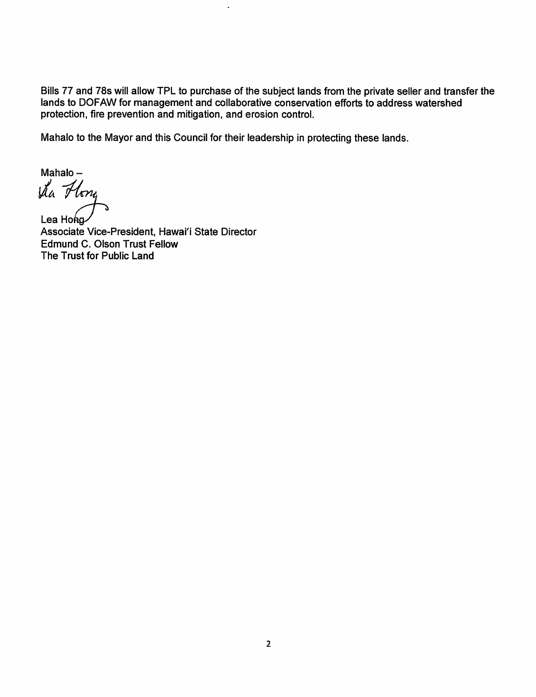Bills 77 and 78s will allow TPL to purchase of the subject lands from the private seller and transfer the lands to DOFAW for management and collaborative conservation efforts to address watershed protection, fire prevention and mitigation, and erosion control.

Mahalo to the Mayor and this Council for their leadership in protecting these lands.

 $\ddot{\phantom{0}}$ 

Mahalo -<br> $\mathcal{U}_a$  Hong

Lea Hong Associate Vice-President, Hawai'i State Director Edmund C. Olson Trust Fellow The Trust for Public Land